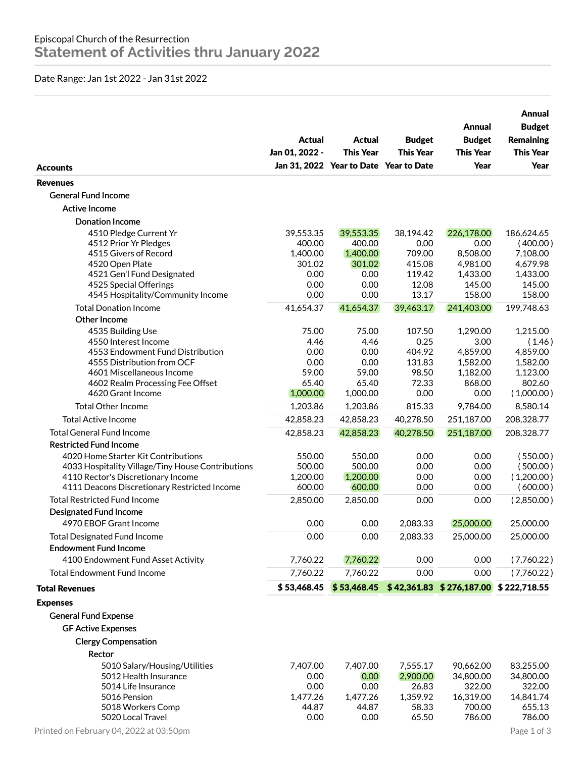## Date Range: Jan 1st 2022 - Jan 31st 2022

| <b>Accounts</b>                                        | Actual<br>Jan 01, 2022 - | Actual<br><b>This Year</b><br>Jan 31, 2022 Year to Date Year to Date | <b>Budget</b><br><b>This Year</b> | Annual<br><b>Budget</b><br><b>This Year</b><br>Year   | Annual<br><b>Budget</b><br><b>Remaining</b><br><b>This Year</b><br>Year |
|--------------------------------------------------------|--------------------------|----------------------------------------------------------------------|-----------------------------------|-------------------------------------------------------|-------------------------------------------------------------------------|
| <b>Revenues</b>                                        |                          |                                                                      |                                   |                                                       |                                                                         |
| <b>General Fund Income</b>                             |                          |                                                                      |                                   |                                                       |                                                                         |
|                                                        |                          |                                                                      |                                   |                                                       |                                                                         |
| Active Income                                          |                          |                                                                      |                                   |                                                       |                                                                         |
| <b>Donation Income</b>                                 |                          |                                                                      |                                   |                                                       |                                                                         |
| 4510 Pledge Current Yr                                 | 39,553.35                | 39,553.35                                                            | 38,194.42                         | 226,178.00                                            | 186,624.65                                                              |
| 4512 Prior Yr Pledges                                  | 400.00                   | 400.00<br>1,400.00                                                   | 0.00<br>709.00                    | 0.00<br>8,508.00                                      | (400.00)                                                                |
| 4515 Givers of Record<br>4520 Open Plate               | 1,400.00<br>301.02       | 301.02                                                               | 415.08                            | 4,981.00                                              | 7,108.00<br>4,679.98                                                    |
| 4521 Gen'l Fund Designated                             | 0.00                     | 0.00                                                                 | 119.42                            | 1,433.00                                              | 1,433.00                                                                |
| 4525 Special Offerings                                 | 0.00                     | 0.00                                                                 | 12.08                             | 145.00                                                | 145.00                                                                  |
| 4545 Hospitality/Community Income                      | 0.00                     | 0.00                                                                 | 13.17                             | 158.00                                                | 158.00                                                                  |
| <b>Total Donation Income</b>                           | 41,654.37                | 41,654.37                                                            | 39,463.17                         | 241,403.00                                            | 199,748.63                                                              |
| Other Income                                           |                          |                                                                      |                                   |                                                       |                                                                         |
| 4535 Building Use                                      | 75.00                    | 75.00                                                                | 107.50                            | 1,290.00                                              | 1,215.00                                                                |
| 4550 Interest Income                                   | 4.46                     | 4.46                                                                 | 0.25                              | 3.00                                                  | (1.46)                                                                  |
| 4553 Endowment Fund Distribution                       | 0.00                     | 0.00                                                                 | 404.92                            | 4,859.00                                              | 4,859.00                                                                |
| 4555 Distribution from OCF                             | 0.00                     | 0.00                                                                 | 131.83                            | 1,582.00                                              | 1,582.00                                                                |
| 4601 Miscellaneous Income                              | 59.00                    | 59.00                                                                | 98.50                             | 1,182.00                                              | 1,123.00                                                                |
| 4602 Realm Processing Fee Offset                       | 65.40                    | 65.40                                                                | 72.33                             | 868.00                                                | 802.60                                                                  |
| 4620 Grant Income                                      | 1,000.00                 | 1,000.00                                                             | 0.00                              | 0.00                                                  | (1,000.00)                                                              |
| <b>Total Other Income</b>                              | 1,203.86                 | 1,203.86                                                             | 815.33                            | 9,784.00                                              | 8,580.14                                                                |
| <b>Total Active Income</b>                             | 42,858.23                | 42,858.23                                                            | 40,278.50                         | 251,187.00                                            | 208,328.77                                                              |
| <b>Total General Fund Income</b>                       | 42,858.23                | 42,858.23                                                            | 40,278.50                         | 251,187.00                                            | 208,328.77                                                              |
| <b>Restricted Fund Income</b>                          |                          |                                                                      |                                   |                                                       |                                                                         |
| 4020 Home Starter Kit Contributions                    | 550.00                   | 550.00                                                               | 0.00                              | 0.00                                                  | (550.00)                                                                |
| 4033 Hospitality Village/Tiny House Contributions      | 500.00                   | 500.00                                                               | 0.00                              | 0.00                                                  | (500.00)                                                                |
| 4110 Rector's Discretionary Income                     | 1,200.00                 | 1,200.00                                                             | 0.00                              | 0.00                                                  | (1,200.00)                                                              |
| 4111 Deacons Discretionary Restricted Income           | 600.00                   | 600.00                                                               | 0.00                              | 0.00                                                  | (600.00)                                                                |
| Total Restricted Fund Income                           | 2,850.00                 | 2,850.00                                                             | 0.00                              | 0.00                                                  | (2,850.00)                                                              |
| Designated Fund Income                                 |                          |                                                                      |                                   |                                                       |                                                                         |
| 4970 EBOF Grant Income                                 | 0.00                     | 0.00                                                                 | 2,083.33                          | 25,000.00                                             | 25,000.00                                                               |
| <b>Total Designated Fund Income</b>                    | 0.00                     | 0.00                                                                 | 2,083.33                          | 25,000.00                                             | 25,000.00                                                               |
| <b>Endowment Fund Income</b>                           |                          |                                                                      |                                   |                                                       |                                                                         |
| 4100 Endowment Fund Asset Activity                     | 7,760.22                 | 7,760.22                                                             | 0.00                              | 0.00                                                  | (7,760.22)                                                              |
|                                                        |                          |                                                                      |                                   |                                                       |                                                                         |
| <b>Total Endowment Fund Income</b>                     | 7,760.22                 | 7,760.22                                                             | 0.00                              | 0.00                                                  | (7,760.22)                                                              |
| <b>Total Revenues</b>                                  | \$53,468.45              |                                                                      |                                   | $$53,468.45$ $$42,361.83$ $$276,187.00$ $$222,718.55$ |                                                                         |
| <b>Expenses</b>                                        |                          |                                                                      |                                   |                                                       |                                                                         |
| <b>General Fund Expense</b>                            |                          |                                                                      |                                   |                                                       |                                                                         |
| <b>GF Active Expenses</b>                              |                          |                                                                      |                                   |                                                       |                                                                         |
| <b>Clergy Compensation</b>                             |                          |                                                                      |                                   |                                                       |                                                                         |
| Rector                                                 |                          |                                                                      |                                   |                                                       |                                                                         |
|                                                        |                          |                                                                      |                                   |                                                       |                                                                         |
| 5010 Salary/Housing/Utilities<br>5012 Health Insurance | 7,407.00<br>0.00         | 7,407.00<br>0.00                                                     | 7,555.17<br>2,900.00              | 90,662.00<br>34,800.00                                | 83,255.00<br>34,800.00                                                  |
| 5014 Life Insurance                                    | 0.00                     | 0.00                                                                 | 26.83                             | 322.00                                                | 322.00                                                                  |
| 5016 Pension                                           | 1,477.26                 | 1,477.26                                                             | 1,359.92                          | 16,319.00                                             | 14,841.74                                                               |
| 5018 Workers Comp                                      | 44.87                    | 44.87                                                                | 58.33                             | 700.00                                                | 655.13                                                                  |
| 5020 Local Travel                                      | 0.00                     | 0.00                                                                 | 65.50                             | 786.00                                                | 786.00                                                                  |
| Printed on February 04, 2022 at 03:50pm                |                          |                                                                      |                                   |                                                       | Page 1 of 3                                                             |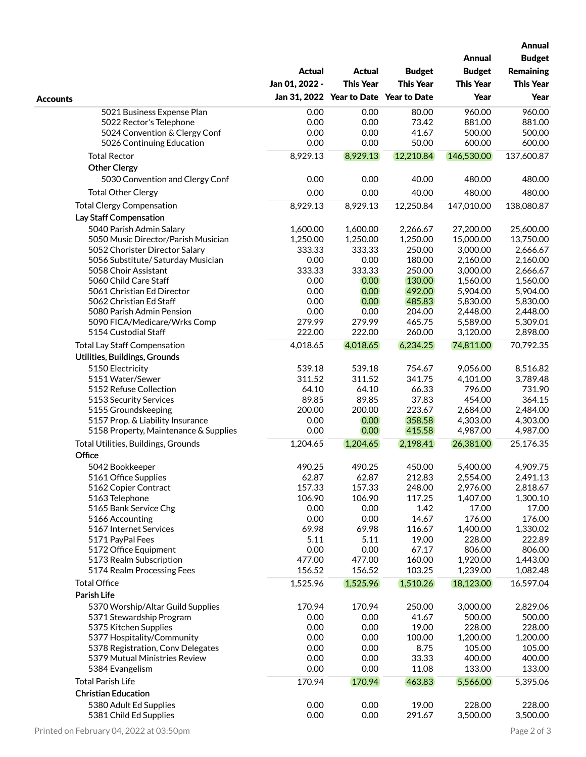|                                               |                  |                                        |                  |                      | <b>Annual</b>        |  |
|-----------------------------------------------|------------------|----------------------------------------|------------------|----------------------|----------------------|--|
|                                               |                  |                                        |                  | <b>Annual</b>        | <b>Budget</b>        |  |
|                                               | <b>Actual</b>    | <b>Actual</b>                          | <b>Budget</b>    | <b>Budget</b>        | <b>Remaining</b>     |  |
|                                               | Jan 01, 2022 -   | <b>This Year</b>                       | <b>This Year</b> | <b>This Year</b>     | <b>This Year</b>     |  |
| <b>Accounts</b>                               |                  | Jan 31, 2022 Year to Date Year to Date |                  | Year                 | Year                 |  |
| 5021 Business Expense Plan                    | 0.00             | 0.00                                   | 80.00            | 960.00               | 960.00               |  |
| 5022 Rector's Telephone                       | 0.00             | 0.00                                   | 73.42            | 881.00               | 881.00               |  |
| 5024 Convention & Clergy Conf                 | 0.00             | 0.00                                   | 41.67            | 500.00               | 500.00               |  |
| 5026 Continuing Education                     | 0.00             | 0.00                                   | 50.00            | 600.00               | 600.00               |  |
| <b>Total Rector</b>                           | 8,929.13         | 8,929.13                               | 12,210.84        | 146,530.00           | 137,600.87           |  |
| <b>Other Clergy</b>                           |                  |                                        |                  |                      |                      |  |
| 5030 Convention and Clergy Conf               | 0.00             | 0.00                                   | 40.00            | 480.00               | 480.00               |  |
| <b>Total Other Clergy</b>                     | 0.00             | 0.00                                   | 40.00            | 480.00               | 480.00               |  |
| <b>Total Clergy Compensation</b>              | 8,929.13         | 8,929.13                               | 12,250.84        | 147,010.00           | 138,080.87           |  |
| Lay Staff Compensation                        |                  |                                        |                  |                      |                      |  |
| 5040 Parish Admin Salary                      | 1,600.00         | 1,600.00                               | 2,266.67         | 27,200.00            | 25,600.00            |  |
| 5050 Music Director/Parish Musician           | 1,250.00         | 1,250.00                               | 1,250.00         | 15,000.00            | 13,750.00            |  |
| 5052 Chorister Director Salary                | 333.33           | 333.33                                 | 250.00           | 3,000.00             | 2,666.67             |  |
| 5056 Substitute/ Saturday Musician            | 0.00             | 0.00                                   | 180.00           | 2,160.00             | 2,160.00             |  |
| 5058 Choir Assistant<br>5060 Child Care Staff | 333.33<br>0.00   | 333.33<br>0.00                         | 250.00<br>130.00 | 3,000.00<br>1,560.00 | 2,666.67<br>1,560.00 |  |
| 5061 Christian Ed Director                    | 0.00             | 0.00                                   | 492.00           | 5,904.00             | 5,904.00             |  |
| 5062 Christian Ed Staff                       | 0.00             | 0.00                                   | 485.83           | 5,830.00             | 5,830.00             |  |
| 5080 Parish Admin Pension                     | 0.00             | 0.00                                   | 204.00           | 2,448.00             | 2,448.00             |  |
| 5090 FICA/Medicare/Wrks Comp                  | 279.99           | 279.99                                 | 465.75           | 5,589.00             | 5,309.01             |  |
| 5154 Custodial Staff                          | 222.00           | 222.00                                 | 260.00           | 3,120.00             | 2,898.00             |  |
| <b>Total Lay Staff Compensation</b>           | 4,018.65         | 4,018.65                               | 6,234.25         | 74,811.00            | 70,792.35            |  |
| Utilities, Buildings, Grounds                 |                  |                                        |                  |                      |                      |  |
| 5150 Electricity                              | 539.18           | 539.18                                 | 754.67           | 9,056.00             | 8,516.82             |  |
| 5151 Water/Sewer                              | 311.52           | 311.52                                 | 341.75           | 4,101.00             | 3,789.48             |  |
| 5152 Refuse Collection                        | 64.10            | 64.10                                  | 66.33            | 796.00               | 731.90               |  |
| 5153 Security Services                        | 89.85            | 89.85                                  | 37.83            | 454.00               | 364.15               |  |
| 5155 Groundskeeping                           | 200.00           | 200.00                                 | 223.67           | 2,684.00             | 2,484.00             |  |
| 5157 Prop. & Liability Insurance              | 0.00<br>0.00     | 0.00                                   | 358.58           | 4,303.00             | 4,303.00             |  |
| 5158 Property, Maintenance & Supplies         |                  | 0.00                                   | 415.58           | 4,987.00             | 4,987.00             |  |
| Total Utilities, Buildings, Grounds           | 1,204.65         | 1,204.65                               | 2,198.41         | 26,381.00            | 25,176.35            |  |
| Office                                        |                  |                                        |                  |                      |                      |  |
| 5042 Bookkeeper                               | 490.25           | 490.25                                 | 450.00           | 5,400.00             | 4,909.75             |  |
| 5161 Office Supplies                          | 62.87            | 62.87                                  | 212.83           | 2,554.00             | 2,491.13             |  |
| 5162 Copier Contract                          | 157.33<br>106.90 | 157.33                                 | 248.00<br>117.25 | 2,976.00             | 2,818.67             |  |
| 5163 Telephone<br>5165 Bank Service Chg       | 0.00             | 106.90<br>0.00                         | 1.42             | 1,407.00<br>17.00    | 1,300.10<br>17.00    |  |
| 5166 Accounting                               | 0.00             | 0.00                                   | 14.67            | 176.00               | 176.00               |  |
| 5167 Internet Services                        | 69.98            | 69.98                                  | 116.67           | 1,400.00             | 1,330.02             |  |
| 5171 PayPal Fees                              | 5.11             | 5.11                                   | 19.00            | 228.00               | 222.89               |  |
| 5172 Office Equipment                         | 0.00             | 0.00                                   | 67.17            | 806.00               | 806.00               |  |
| 5173 Realm Subscription                       | 477.00           | 477.00                                 | 160.00           | 1,920.00             | 1,443.00             |  |
| 5174 Realm Processing Fees                    | 156.52           | 156.52                                 | 103.25           | 1,239.00             | 1,082.48             |  |
| <b>Total Office</b>                           | 1,525.96         | 1,525.96                               | 1,510.26         | 18,123.00            | 16,597.04            |  |
| Parish Life                                   |                  |                                        |                  |                      |                      |  |
| 5370 Worship/Altar Guild Supplies             | 170.94           | 170.94                                 | 250.00           | 3,000.00             | 2,829.06             |  |
| 5371 Stewardship Program                      | 0.00             | 0.00                                   | 41.67            | 500.00               | 500.00               |  |
| 5375 Kitchen Supplies                         | 0.00             | 0.00                                   | 19.00            | 228.00               | 228.00               |  |
| 5377 Hospitality/Community                    | 0.00             | 0.00                                   | 100.00           | 1,200.00             | 1,200.00             |  |
| 5378 Registration, Conv Delegates             | 0.00             | 0.00                                   | 8.75             | 105.00               | 105.00               |  |
| 5379 Mutual Ministries Review                 | 0.00             | 0.00                                   | 33.33            | 400.00               | 400.00               |  |
| 5384 Evangelism                               | 0.00             | 0.00                                   | 11.08            | 133.00               | 133.00               |  |
| <b>Total Parish Life</b>                      | 170.94           | 170.94                                 | 463.83           | 5,566.00             | 5,395.06             |  |
| <b>Christian Education</b>                    |                  |                                        |                  |                      |                      |  |
| 5380 Adult Ed Supplies                        | 0.00             | 0.00                                   | 19.00            | 228.00               | 228.00               |  |
| 5381 Child Ed Supplies                        | 0.00             | 0.00                                   | 291.67           | 3,500.00             | 3,500.00             |  |